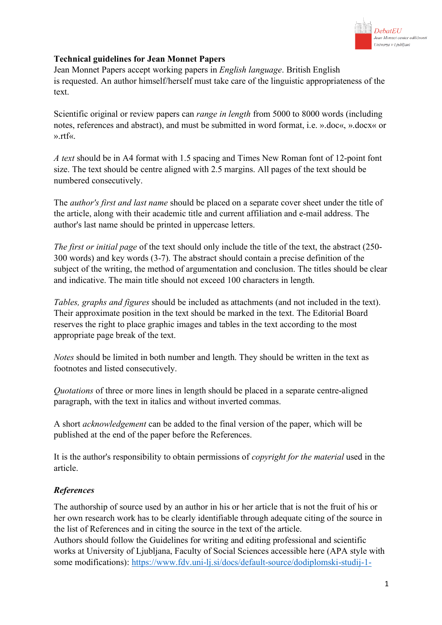

# **Technical guidelines for Jean Monnet Papers**

Jean Monnet Papers accept working papers in *English language*. British English is requested. An author himself/herself must take care of the linguistic appropriateness of the text.

Scientific original or review papers can *range in length* from 5000 to 8000 words (including notes, references and abstract), and must be submitted in word format, i.e. ».doc«, ».docx« or ».rtf«.

*A text* should be in A4 format with 1.5 spacing and Times New Roman font of 12-point font size. The text should be centre aligned with 2.5 margins. All pages of the text should be numbered consecutively.

The *author's first and last name* should be placed on a separate cover sheet under the title of the article, along with their academic title and current affiliation and e-mail address. The author's last name should be printed in uppercase letters.

*The first or initial page* of the text should only include the title of the text, the abstract (250- 300 words) and key words (3-7). The abstract should contain a precise definition of the subject of the writing, the method of argumentation and conclusion. The titles should be clear and indicative. The main title should not exceed 100 characters in length.

*Tables, graphs and figures* should be included as attachments (and not included in the text). Their approximate position in the text should be marked in the text. The Editorial Board reserves the right to place graphic images and tables in the text according to the most appropriate page break of the text.

*Notes* should be limited in both number and length. They should be written in the text as footnotes and listed consecutively.

*Quotations* of three or more lines in length should be placed in a separate centre-aligned paragraph, with the text in italics and without inverted commas.

A short *acknowledgement* can be added to the final version of the paper, which will be published at the end of the paper before the References.

It is the author's responsibility to obtain permissions of *copyright for the material* used in the article.

# *References*

The authorship of source used by an author in his or her article that is not the fruit of his or her own research work has to be clearly identifiable through adequate citing of the source in the list of References and in citing the source in the text of the article.

Authors should follow the Guidelines for writing and editing professional and scientific works at University of Ljubljana, Faculty of Social Sciences accessible here (APA style with some modifications): https://www.fdv.uni-lj.si/docs/default-source/dodiplomski-studij-1-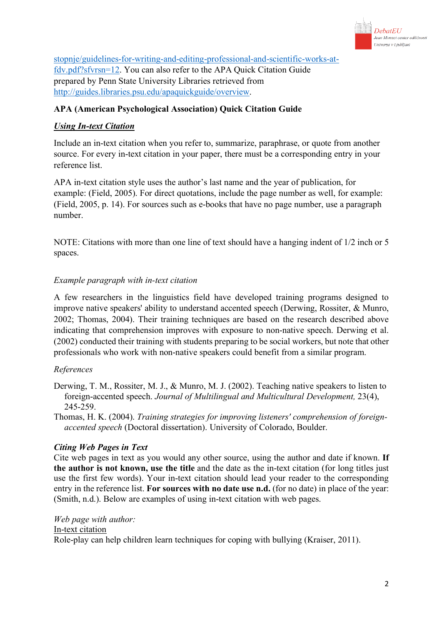

stopnje/guidelines-for-writing-and-editing-professional-and-scientific-works-atfdv.pdf?sfvrsn=12. You can also refer to the APA Quick Citation Guide prepared by Penn State University Libraries retrieved from http://guides.libraries.psu.edu/apaquickguide/overview.

# **APA (American Psychological Association) Quick Citation Guide**

# *Using In-text Citation*

Include an in-text citation when you refer to, summarize, paraphrase, or quote from another source. For every in-text citation in your paper, there must be a corresponding entry in your reference list.

APA in-text citation style uses the author's last name and the year of publication, for example: (Field, 2005). For direct quotations, include the page number as well, for example: (Field, 2005, p. 14). For sources such as e-books that have no page number, use a paragraph number.

NOTE: Citations with more than one line of text should have a hanging indent of 1/2 inch or 5 spaces.

## *Example paragraph with in-text citation*

A few researchers in the linguistics field have developed training programs designed to improve native speakers' ability to understand accented speech (Derwing, Rossiter, & Munro, 2002; Thomas, 2004). Their training techniques are based on the research described above indicating that comprehension improves with exposure to non-native speech. Derwing et al. (2002) conducted their training with students preparing to be social workers, but note that other professionals who work with non-native speakers could benefit from a similar program.

## *References*

- Derwing, T. M., Rossiter, M. J., & Munro, M. J. (2002). Teaching native speakers to listen to foreign-accented speech. *Journal of Multilingual and Multicultural Development,* 23(4), 245-259.
- Thomas, H. K. (2004). *Training strategies for improving listeners' comprehension of foreignaccented speech* (Doctoral dissertation). University of Colorado, Boulder.

## *Citing Web Pages in Text*

Cite web pages in text as you would any other source, using the author and date if known. **If the author is not known, use the title** and the date as the in-text citation (for long titles just use the first few words). Your in-text citation should lead your reader to the corresponding entry in the reference list. **For sources with no date use n.d.** (for no date) in place of the year: (Smith, n.d.). Below are examples of using in-text citation with web pages.

### *Web page with author:*

### In-text citation

Role-play can help children learn techniques for coping with bullying (Kraiser, 2011).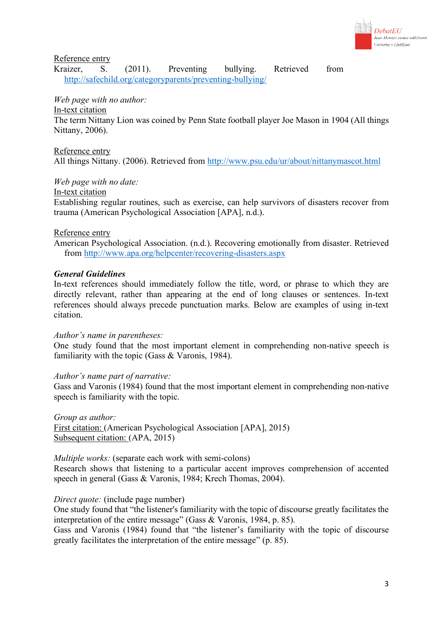

Reference entry

Kraizer, S. (2011). Preventing bullying. Retrieved from http://safechild.org/categoryparents/preventing-bullying/

*Web page with no author:*

## In-text citation

The term Nittany Lion was coined by Penn State football player Joe Mason in 1904 (All things Nittany, 2006).

Reference entry

All things Nittany. (2006). Retrieved from http://www.psu.edu/ur/about/nittanymascot.html

*Web page with no date:*

In-text citation

Establishing regular routines, such as exercise, can help survivors of disasters recover from trauma (American Psychological Association [APA], n.d.).

### Reference entry

American Psychological Association. (n.d.). Recovering emotionally from disaster. Retrieved from http://www.apa.org/helpcenter/recovering-disasters.aspx

### *General Guidelines*

In-text references should immediately follow the title, word, or phrase to which they are directly relevant, rather than appearing at the end of long clauses or sentences. In-text references should always precede punctuation marks. Below are examples of using in-text citation.

#### *Author's name in parentheses:*

One study found that the most important element in comprehending non-native speech is familiarity with the topic (Gass & Varonis, 1984).

### *Author's name part of narrative:*

Gass and Varonis (1984) found that the most important element in comprehending non-native speech is familiarity with the topic.

*Group as author:* First citation: (American Psychological Association [APA], 2015) Subsequent citation: (APA, 2015)

*Multiple works:* (separate each work with semi-colons) Research shows that listening to a particular accent improves comprehension of accented speech in general (Gass & Varonis, 1984; Krech Thomas, 2004).

### *Direct quote:* (include page number)

One study found that "the listener's familiarity with the topic of discourse greatly facilitates the interpretation of the entire message" (Gass & Varonis, 1984, p. 85).

Gass and Varonis (1984) found that "the listener's familiarity with the topic of discourse greatly facilitates the interpretation of the entire message" (p. 85).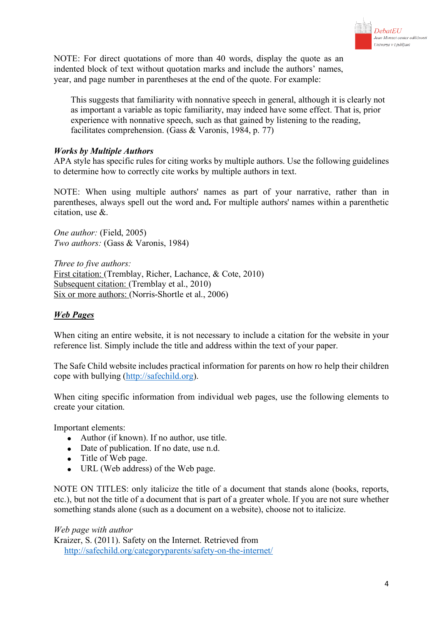

NOTE: For direct quotations of more than 40 words, display the quote as an indented block of text without quotation marks and include the authors' names, year, and page number in parentheses at the end of the quote. For example:

This suggests that familiarity with nonnative speech in general, although it is clearly not as important a variable as topic familiarity, may indeed have some effect. That is, prior experience with nonnative speech, such as that gained by listening to the reading, facilitates comprehension. (Gass & Varonis, 1984, p. 77)

## *Works by Multiple Authors*

APA style has specific rules for citing works by multiple authors. Use the following guidelines to determine how to correctly cite works by multiple authors in text.

NOTE: When using multiple authors' names as part of your narrative, rather than in parentheses, always spell out the word and**.** For multiple authors' names within a parenthetic citation, use &.

*One author:* (Field, 2005) *Two authors:* (Gass & Varonis, 1984)

*Three to five authors:* First citation: (Tremblay, Richer, Lachance, & Cote, 2010) Subsequent citation: (Tremblay et al., 2010) Six or more authors: (Norris-Shortle et al., 2006)

### *Web Pages*

When citing an entire website, it is not necessary to include a citation for the website in your reference list. Simply include the title and address within the text of your paper.

The Safe Child website includes practical information for parents on how ro help their children cope with bullying (http://safechild.org).

When citing specific information from individual web pages, use the following elements to create your citation.

Important elements:

- Author (if known). If no author, use title.
- Date of publication. If no date, use n.d.
- Title of Web page.
- URL (Web address) of the Web page.

NOTE ON TITLES: only italicize the title of a document that stands alone (books, reports, etc.), but not the title of a document that is part of a greater whole. If you are not sure whether something stands alone (such as a document on a website), choose not to italicize.

*Web page with author* Kraizer, S. (2011). Safety on the Internet. Retrieved from http://safechild.org/categoryparents/safety-on-the-internet/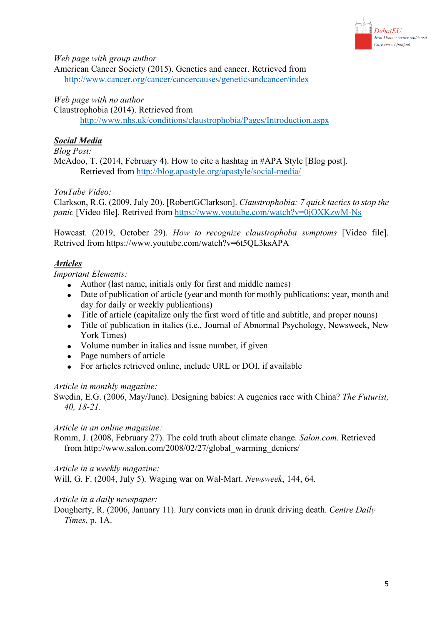

*Web page with group author*

American Cancer Society (2015). Genetics and cancer. Retrieved from http://www.cancer.org/cancer/cancercauses/geneticsandcancer/index

### *Web page with no author*

Claustrophobia (2014). Retrieved from http://www.nhs.uk/conditions/claustrophobia/Pages/Introduction.aspx

## *Social Media*

*Blog Post:*

McAdoo, T. (2014, February 4). How to cite a hashtag in #APA Style [Blog post]. Retrieved from http://blog.apastyle.org/apastyle/social-media/

### *YouTube Video:*

Clarkson, R.G. (2009, July 20). [RobertGClarkson]. *Claustrophobia: 7 quick tactics to stop the panic* [Video file]*.* Retrived from https://www.youtube.com/watch?v=0jOXKzwM-Ns

Howcast. (2019, October 29). *How to recognize claustrophoba symptoms* [Video file]. Retrived from https://www.youtube.com/watch?v=6t5QL3ksAPA

## *Articles*

*Important Elements:*

- Author (last name, initials only for first and middle names)
- Date of publication of article (year and month for mothly publications; year, month and day for daily or weekly publications)
- Title of article (capitalize only the first word of title and subtitle, and proper nouns)
- Title of publication in italics (i.e., Journal of Abnormal Psychology, Newsweek, New York Times)
- Volume number in italics and issue number, if given
- Page numbers of article
- For articles retrieved online, include URL or DOI, if available

### *Article in monthly magazine:*

Swedin, E.G. (2006, May/June). Designing babies: A eugenics race with China? *The Futurist, 40, 18-21.*

### *Article in an online magazine:*

Romm, J. (2008, February 27). The cold truth about climate change. *Salon.com*. Retrieved from http://www.salon.com/2008/02/27/global\_warming\_deniers/

### *Article in a weekly magazine:*

Will, G. F. (2004, July 5). Waging war on Wal-Mart. *Newsweek*, 144, 64.

### *Article in a daily newspaper:*

Dougherty, R. (2006, January 11). Jury convicts man in drunk driving death. *Centre Daily Times*, p. 1A.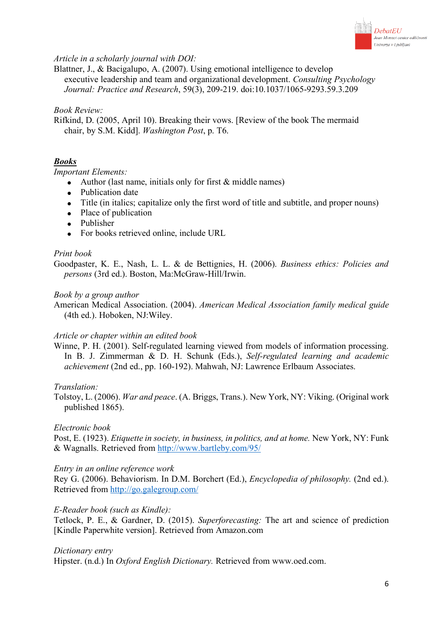

### *Article in a scholarly journal with DOI:*

Blattner, J., & Bacigalupo, A. (2007). Using emotional intelligence to develop executive leadership and team and organizational development. *Consulting Psychology Journal: Practice and Research*, 59(3), 209-219. doi:10.1037/1065-9293.59.3.209

#### *Book Review:*

Rifkind, D. (2005, April 10). Breaking their vows. [Review of the book The mermaid chair, by S.M. Kidd]. *Washington Post*, p. T6.

## *Books*

#### *Important Elements:*

- Author (last name, initials only for first  $&$  middle names)
- Publication date
- Title (in italics; capitalize only the first word of title and subtitle, and proper nouns)
- Place of publication
- Publisher
- For books retrieved online, include URL

#### *Print book*

Goodpaster, K. E., Nash, L. L. & de Bettignies, H. (2006). *Business ethics: Policies and persons* (3rd ed.). Boston, Ma:McGraw-Hill/Irwin.

#### *Book by a group author*

American Medical Association. (2004). *American Medical Association family medical guide*  (4th ed.). Hoboken, NJ:Wiley.

#### *Article or chapter within an edited book*

Winne, P. H. (2001). Self-regulated learning viewed from models of information processing. In B. J. Zimmerman & D. H. Schunk (Eds.), *Self-regulated learning and academic achievement* (2nd ed., pp. 160-192). Mahwah, NJ: Lawrence Erlbaum Associates.

#### *Translation:*

Tolstoy, L. (2006). *War and peace*. (A. Briggs, Trans.). New York, NY: Viking. (Original work published 1865).

#### *Electronic book*

Post, E. (1923). *Etiquette in society, in business, in politics, and at home.* New York, NY: Funk & Wagnalls. Retrieved from http://www.bartleby.com/95/

#### *Entry in an online reference work*

Rey G. (2006). Behaviorism. In D.M. Borchert (Ed.), *Encyclopedia of philosophy.* (2nd ed.). Retrieved from http://go.galegroup.com/

#### *E-Reader book (such as Kindle):*

Tetlock, P. E., & Gardner, D. (2015). *Superforecasting:* The art and science of prediction [Kindle Paperwhite version]. Retrieved from Amazon.com

#### *Dictionary entry*

Hipster. (n.d.) In *Oxford English Dictionary.* Retrieved from www.oed.com.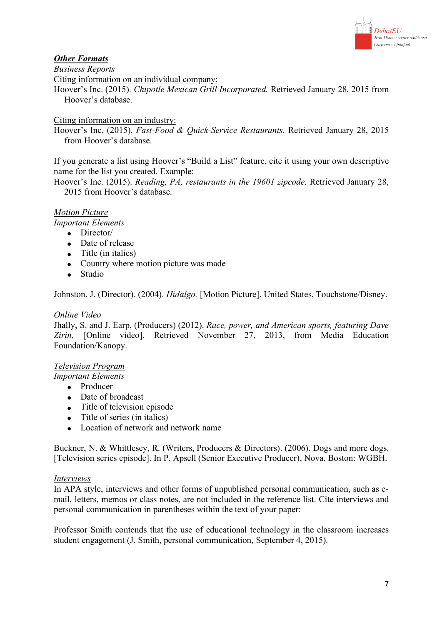

# *Other Formats*

*Business Reports*

Citing information on an individual company:

Hoover's Inc. (2015). *Chipotle Mexican Grill Incorporated.* Retrieved January 28, 2015 from Hoover's database.

## Citing information on an industry:

Hoover's Inc. (2015). *Fast-Food & Quick-Service Restaurants.* Retrieved January 28, 2015 from Hoover's database.

If you generate a list using Hoover's "Build a List" feature, cite it using your own descriptive name for the list you created. Example:

Hoover's Inc. (2015). *Reading, PA, restaurants in the 19601 zipcode.* Retrieved January 28, 2015 from Hoover's database.

## *Motion Picture*

*Important Elements*

- Director/
- Date of release
- Title (in italics)
- Country where motion picture was made
- Studio

Johnston, J. (Director). (2004). *Hidalgo.* [Motion Picture]. United States, Touchstone/Disney.

### *Online Video*

Jhally, S. and J. Earp, (Producers) (2012). *Race, power, and American sports, featuring Dave Zirin,* [Online video]. Retrieved November 27, 2013, from Media Education Foundation/Kanopy.

## *Television Program*

*Important Elements*

- Producer
- Date of broadcast
- Title of television episode
- Title of series (in italics)
- Location of network and network name

Buckner, N. & Whittlesey, R. (Writers, Producers & Directors). (2006). Dogs and more dogs. [Television series episode]. In P. Apsell (Senior Executive Producer), Nova. Boston: WGBH.

### *Interviews*

In APA style, interviews and other forms of unpublished personal communication, such as email, letters, memos or class notes, are not included in the reference list. Cite interviews and personal communication in parentheses within the text of your paper:

Professor Smith contends that the use of educational technology in the classroom increases student engagement (J. Smith, personal communication, September 4, 2015).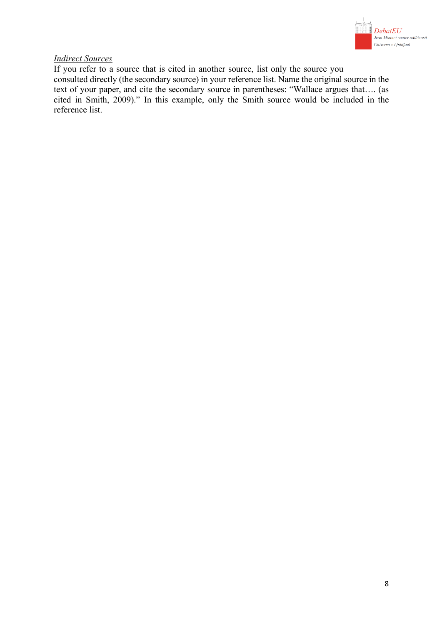

### *Indirect Sources*

If you refer to a source that is cited in another source, list only the source you consulted directly (the secondary source) in your reference list. Name the original source in the text of your paper, and cite the secondary source in parentheses: "Wallace argues that…. (as cited in Smith, 2009)." In this example, only the Smith source would be included in the reference list.